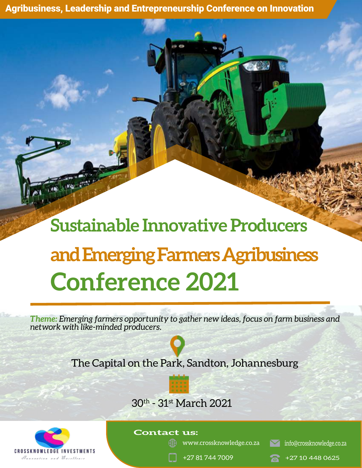Agribusiness, Leadership and Entrepreneurship Conference on Innovation

# **Sustainable Innovative Producers and Emerging Farmers Agribusiness Conference 2021**

*Theme: Emerging farmers opportunity to gather new ideas, focus on farm business and network with like-minded producers.*



## The Capital on the Park, Sandton, Johannesburg





#### **Contact us:**

www.crossknowledge.co.za info@crossknowledge.co.za

+27 81 744 7009 +27 10 448 0625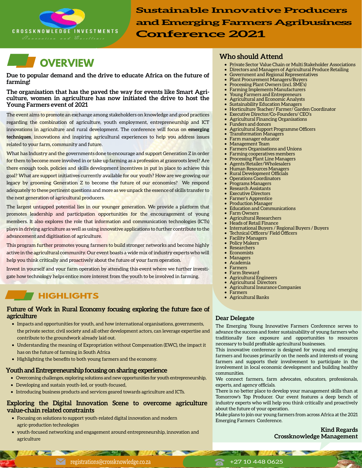



**Due to popular demand and the drive to educate Africa on the future of farming!** 

**The organisation that has the paved the way for events like Smart Agriculture, women in agriculture has now initiated the drive to host the Young Farmers event of 2021**

The event aims to promote an exchange among stakeholders on knowledge and good practices regarding the combination of agriculture, youth employment, entrepreneurship and ICT innovations in agriculture and rural development. The conference will focus on **emerging techniques**, innovations and inspiring agricultural experiences to help you address issues related to your farm, community and future.

What has Industry and the governments done to encourage and support Generation Z in order for them to become more involved in or take up farming as a profession at grassroots level? Are there enough tools, policies and skills development incentives in put in place to achieve this goal? What are support initiatives currently available for our youth? How are we growing our legacy by grooming Generation Z to become the future of our economies? We respond adequately to these pertinent questions and more as we unpack the essence of skills transfer to the next generation of agricultural producers.

The largest untapped potential lies in our younger generation. We provide a platform that promotes leadership and participation opportunities for the encouragement of young members. It also explores the role that information and communication technologies (ICTs) plays in driving agriculture as well as using innovative applications to further contribute to the advancement and digitisation of agriculture.

This program further promotes young farmers to build stronger networks and become highly active in the agricultural community. Our event boasts a wide mix of industry experts who will help you think critically and proactively about the future of your farm operation.

Invest in yourself and your farm operation by attending this event where we further investigate how technology helps entice more interest from the youth to be involved in farming.

## **Farmers HIGHLIGHTS** • **Agricultural Banks**

#### **Future of Work in Rural Economy focusing exploring the future face of agriculture**

- Impacts and opportunities for youth, and how international organisations, governments, the private sector, civil society and all other development actors, can leverage expertise and contribute to the groundwork already laid out.
- Understanding the meaning of Expropriation without Compensation (EWC), the impact it has on the future of farming in South Africa
- Highlighting the benefits to both young farmers and the economy.

#### **Youth and Entrepreneurship focusing on sharing experience**

- Overcoming challenges, exploring solutions and new opportunities for youth entrepreneurship,
- Developing and sustain youth-led, or youth-focused,

**NAME OF BRIDE** 

• Introducing business products and services geared towards agriculture and ICTs.

#### **Exploring the Digital Innovation Scene to overcome agriculture value-chain related constraints**

- Focusing on solutions to support youth-related digital innovation and modern agric-production technologies
- youth-focused networking and engagement around entrepreneurship, innovation and agriculture

#### **Who should Attend**

- Private Sector Value Chain or Multi Stakeholder Associations
- Directors and Managers of Agricultural Produce Retailing
- Government and Regional Representatives • Plant Procurement Managers/Buyers
- 
- Processing Plant Owners (incl. SME's)
- Farming Implements Manufacturers • Young Farmers and Entrepreneurs
- Agricultural and Economic Analysts
- Sustainability Education Managers
- Horticulture Teacher/ Farmer/ Garden Coordinator
- Executive Director/Co-Founders/ CEO's
- Agricultural Financing Organisations
	- Funders and donors
- Agricultural Support Programme Officers
- Transformation Managers
- Farm manager educator
- Management Team
- Farmers Organisations and Unions
- Farming cooperatives members
- Processing Plant Line Managers
- Agents/Retailer/Wholesalers
- Human Resources Managers
- Rural Development Officials
- Operations Coordinators
- Programs Managers
- Research Assistants
- **Executive Directors**
- Farmer's Apprentice
- Production Manager
- Education and Communications Farm Owners
- 
- Agricultural Researchers
- Heads of Retail Finance
- International Buyers / Regional Buyers / Buyers
- Technical Officers/ Field Officers
- Facility Managers
- Policy Makers
- **Researchers Economists**
- **Managers**
- Academia
- **Farmers**
- Farm Steward
- Agricultural Engineers
- Agricultural Directors
- Agricultural Insurance Companies
- 
- 

#### **Dear Delegate**

The Emerging Young Innovative Farmers Conference serves to advance the success and foster sustainability of young farmers who traditionally face exposure and opportunities to resources necessary to build profitable agricultural businesses.

This innovative conference is designed for young and emerging farmers and focuses primarily on the needs and interests of young farmers and supports their involvement to participate in the involvement in local economic development and building healthy communities.

We connect farmers, farm advocates, educators, professionals, experts, and agency officials.

There is no better place to develop your management skills than at Tomorrow's Top Producer. Our event features a deep bench of industry experts who will help you think critically and proactively about the future of your operation.

Make plans to join our young farmers from across Africa at the 2021 Emerging Farmers Conference.

**All All All Comments** 

**Kind Regards Crossknowledge Management**

registrations@crossknowledge.co.za +27 10 448 0625

**CONTRACTOR**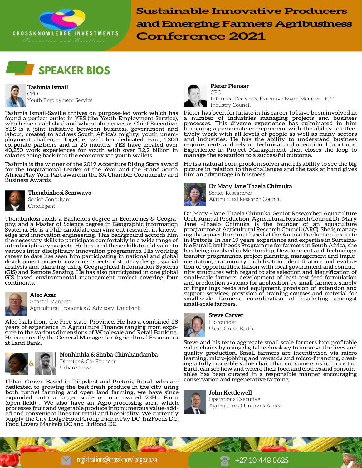





CEO Youth Employment Service

Tashmia Ismail-Saville thrives on purpose-led work which has found a perfect outlet in YES (the Youth Employment Service), which she established and where she serves as Chief Executive. YES is a joint initiative between business, government and labour, created to address South Africa's mighty, youth unemployment challenge. Together with her dedicated team, 1,200 corporate partners and in 20 months, YES have created over 40,250 work experiences for youth with over R2,2 billion in salaries going back into the economy via youth wallets.

Tashmia is the winner of the 2019 Accenture Rising Stars award for the Inspirational Leader of the Year, and the Brand South Africa Play Your Part award in the SA Chamber Community and Business Awards.



**Thembinkosi Semwayo** Senior Consultant **Ontolligent** 

Thembinkosi holds a Bachelors degree in Economics & Geography, and a Master of Science degree in Geographic Information Systems. He is a PhD candidate carrying out research in knowledge and innovation engineering. This background accords him the necessary skills to participate comfortably in a wide range of interdisciplinary projects. He has used these skills to add value to various inter-disciplinary innovation programmes. His working career to date has seen him participating in national and global development projects, covering aspects of strategy design, spatial analysis and planning using Geographical Information Systems (GIS) and Remote Sensing. He has also participated in one global GIS based environmental management project covering four continents.



#### **Alec Azar**

General Manager Agricultural Economics & Advisory Landbank

Alec hails from the Free state, Province. He has a combined 28 years of experience in Agriculture Finance ranging from exposure to the various dimensions of Wholesale and Retail Banking. He is currently the General Manager for Agricultural Economics at Land Bank.



#### **Nonhlnhla & Simba Chimhandamba**

Director & Co- Founder **Urban Grown** 

Urban Grown Based in Diepsloot and Pretoria Rural, who are dedicated to growing the best fresh produce in the city using both tunnel farming and open land farming, we have since expanded onto a larger scale on our owned 23Ha Farm (open-field) . We also have an Agro-processing arm, which processes fruit and vegetable produce into numerous value-added and convenient lines for retail and hospitality. We currently supply the City Lodge Hotel Group ,Pick n Pay DC ,In2Foods DC, Food Lovers Markets DC and Bidfood DC.



CEO Informed Decisions, Executive Board Member - IOT Industry Council

Pieter has been fortunate in his career to have been involved in a number of industries managing projects and business processes. This diverse experience has culminated in him becoming a passionate entrepreneur with the ability to effectively work with all levels of people as well as many sectors and industries. He has the ability to understand business requirements and rely on technical and operational functions. Experience in Project Management then closes the loop to manage the execution to a successful outcome.

He is a natural born problem solver and his ability to see the big picture in relation to the challenges and the task at hand gives him an advantage in business.



**Dr Mary Jane Thaela Chimuka** Senior Researcher

Agricultural Research Council

Dr. Mary –Jane Thaela Chimuka, Senior Researcher Aquaculture Unit, Animal Production, Agricultural Research Council Dr. Mary Jane -Thaelo Chimuka is the founder of an aquaculture programme at Agricultural Research Council (ARC). She is managing the aquaculture unit based at the Animal Production Institute in Pretoria. In her 19 years' experience and expertise in Sustainable Rural Livelihoods Programme for farmers in South Africa, she has being involved in Mentorship, Development and Technology transfer programmes, project planning, management and implementation, community mobilization, identification and evaluation of opportunities, liaison with local government and community structures with regard to site selection and identification of small-scale farmers, development of least cost feed formulation and production systems for application by small-farmers, supply of fingerlings feeds and equipment, provision of extension and support services, provision of training courses and material for small-scale farmers, co-ordination of marketing amongst small-scale farmers.



**Steve Carver**

Co-founder U can Grow. Earth

Steve and his team aggregate small scale farmers into profitable value chains by using digital technology to improve the lives and quality production. Small farmers are incentivised via micro ing a fully traceable value chain that consumers using price tag. Earth can see how and where their food and clothes and consumables has been curated in a responsible manner encouraging conservation and regenerative farming.



**John Kettlewell** Operations Executive Agriculture at Unitrans Africa

registrations@crossknowledge.co.za +27 10 448 0625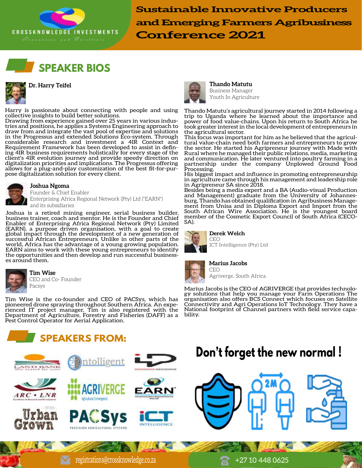





Harry is passionate about connecting with people and using collective insights to build better solutions.

Drawing from experience gained over 25 years in various industries and positions, he applies a Systems Engineering approach to draw from and integrate the vast pool of expertise and solutions in the Progressus and extended Solutions Eco-system. Through considerable research and investment a 4IR Context and Requirement Framework has been developed to assist in defining 4IR business requirements holistically for every stage of the client's 4IR evolution journey and provide speedy direction on digitalization priorities and implications. The Progressus offering allows for a plug-and-play customization of the best fit-for-purpose digitalization solution for every client.



**Joshua Ngoma**

Founder & Chief Enabler Enterprising Africa Regional Network (Pty) Ltd ("EARN") and its subsidiaries

Joshua is a retired mining engineer, serial business builder, business trainer, coach and mentor. He is the Founder and Chief Enabler of Enterprising Africa Regional Network (Pty) Limited (EARN), a purpose driven organisation, with a goal to create global impact through the development of a new generation of successful African Entrepreneurs. Unlike in other parts of the world, Africa has the advantage of a young growing population. EARN aims to work with these young entrepreneurs to identify the opportunities and then develop and run successful businesses around them.



**Tim Wise** CEO and Co- Founder Pacsys

Tim Wise is the co-founder and CEO of PACSys, which has pioneered drone spraying throughout Southern Africa. An experienced IT project manager, Tim is also registered with the Department of Agriculture, Forestry and Fisheries (DAFF) as a Pest Control Operator for Aerial Application.









Aginutural Convergence







**Thando Matutu** Business Manager Youth In Agriculture

Thando Matutu's agricultural journey started in 2014 following a trip to Uganda where he learned about the importance and power of food value-chains. Upon his return to South Africa he took greater interest in the local development of entrepreneurs in the agricultural sector.

This focus was important for him as he believed that the agricultural value-chain need both farmers and entrepreneurs to grow the sector. He started his Agripreneur journey with Made with Rural where he managed their public relations, media, marketing and communication. He later ventured into poultry farming in a partnership under the company Unplowed Ground Food Processing.

His biggest impact and influence in promoting entrepreneurship in agriculture came through his management and leadership role in Agripreneur SA since 2018.

Besides being a media expert and a BA (Audio-visual Production and Management) graduate from the University of Johannesburg, Thando has obtained qualification in Agribusiness Management from Unisa and in Diploma Export and Import from the South African Wire Association. He is the youngest board member of the Cosmetic Export Council of South Africa (CECO-SA).



#### **Derek Welch** CEO





**Marius Jacobs** CEO

Agriverge, South Africa

Marius Jacobs is the CEO of AGRIVERGE that provides technology solutions that help you manage your Farm Operations The organisation also offers BCS Connect which focuses on Satellite Connectivity and Agri Operations IoT Technology. They have a National footprint of Channel partners with field service capability.

# **Don't forget the new normal !**

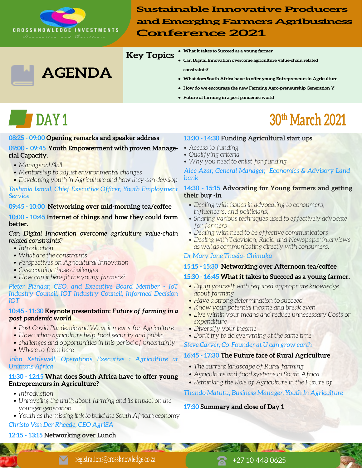

### **Key Topics**

- **What it takes to Succeed as a young farmer**
- **Can Digital Innovation overcome agriculture value-chain related constraints?**
- **What does South Africa have to offer young Entrepreneurs in Agriculture**
- **How do we encourage the new Farming Agro-preneurship Generation Y**
- **Future of farming in a post pandemic world**

#### **08:25 - 09:00 Opening remarks and speaker address**

**AGENDA**

#### **09:00 - 09:45 Youth Empowerment with proven Managerial Capacity.**

- *Managerial Skill*
- *Mentorship to adjust environmental changes*
- *• Developing youth in Agriculture and how they can develop*

*Tashmia Ismail, Chief Executive Officer, Youth Employment Service*

#### **09:45 - 10:00 Networking over mid-morning tea/coffee**

#### **10:00 - 10:45 Internet of things and how they could farm better.**

#### *Can Digital Innovation overcome agriculture value-chain related constraints?*

- *Introduction*
- *What are the constraints*
- *Perspectives on Agricultural Innovation*
- *Overcoming those challenges*
- *How can it benefit the young farmers?*

#### *Pieter Pienaar, CEO, and Executive Board Member - IoT Industry Council, IOT Industry Council, Informed Decision IOT*

#### **10:45 - 11:30 Keynote presentation:** *Future of farming in a post pandemic world*

- *Post Covid Pandemic and What it means for Agriculture*
- *How urban agriculture help food security and public*
- *challenges and opportunities in this period of uncertainty*
- *Where to from here*

#### John Kettlewell, Operations Executive : Agriculture at *Unitrans Africa*

#### **11:30 - 12:15 What does South Africa have to offer young Entrepreneurs in Agriculture?**

- *Introduction*
- *Unraveling the truth about farming and its impact on the younger generation*
- *Youth as the missing link to build the South African economy*

#### *Christo Van Der Rheede, CEO AgriSA*

### **12:15 - 13:15 Networking over Lunch**

# **DAY 1 30th March 2021**

#### **13:30 - 14:30 Funding Agricultural start ups**

- *Access to funding*
- *Qualifying criteria*
- *Why you need to enlist for funding*

*Alec Azar, General Manager, Economics & Advisory Landbank* 

#### **14:30 - 15:15 Advocating for Young farmers and getting their buy -in**

- *Dealing with issues in advocating to consumers, influencers, and politicians,*
- *Sharing various techniques used to effectively advocate for farmers*
- *Dealing with need to be effective communicators*
- *Dealing with Television, Radio, and Newspaper interviews as well as communicating directly with consumers.*

#### *Dr Mary Jane Thaela- Chimuka*

#### **15:15 - 15:30 Networking over Afternoon tea/coffee**

#### **15:30 - 16:45 What it takes to Succeed as a young farmer.**

- *Equip yourself with required appropriate knowledge about farming*
- *Have a strong determination to succeed*
- *Know your potential income and break even*
- *Live within your means and reduce unnecessary Costs or expenditure*
- *Diversify your income*
- *Don't try to do everything at the same time*

#### *Steve Carver, Co-Founder at U can grow earth*

#### **16:45 - 17:30 The Future face of Rural Agriculture**

- *The current landscape of Rural farming*
- *Agriculture and food systems in South Africa*
- *Rethinking the Role of Agriculture in the Future of*

#### *Thando Matutu, Business Manager, Youth In Agriculture*

#### **17:30 Summary and close of Day 1**

registrations@crossknowledge.co.za +27 10 448 0625

**AND THE REAL**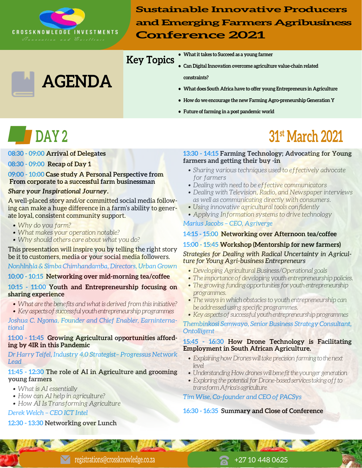

**AGENDA**

**Sustainable Innovative Producers and Emerging Farmers Agribusiness Conference 2021**

## **Key Topics**

- **What it takes to Succeed as a young farmer**
- **Can Digital Innovation overcome agriculture value-chain related**

 **constraints?**

- **What does South Africa have to offer young Entrepreneurs in Agriculture**
- **How do we encourage the new Farming Agro-preneurship Generation Y**
- **Future of farming in a post pandemic world**

**08:30 - 09:00 Arrival of Delegates**

#### **08:30 - 09:00 Recap of Day 1**

**09:00 - 10:00 Case study A Personal Perspective from From corporate to a successful farm businessman**

#### *Share your Inspirational Journey.*

A well-placed story and/or committed social media following can make a huge difference in a farm's ability to generate loyal, consistent community support.

- *Why do you farm?*
- *What makes your operation notable?*
- *Why should others care about what you do?*

This presentation will inspire you by telling the right story be it to customers, media or your social media followers. *Nonhlnhla & Simba Chimhandamba, Directors, Urban Grown*

#### **10:00 - 10:15 Networking over mid-morning tea/coffee**

#### **10:15 - 11:00 Youth and Entrepreneurship focusing on sharing experience**

 *• What are the benefits and what is derived from this initiative? • Key aspects of successful youth entrepreneurship programmes* 

*Joshua C. Ngoma, Founder and Chief Enabler, Earninternational*

#### **11:00 - 11:45 Growing Agricultural opportunities affording by 4IR in this Pandemic**

#### *Dr Harry Teifel, Industry 4.0 Strategist– Progressus Network Lead*

#### **11:45 - 12:30 The role of AI in Agriculture and grooming young farmers**

- *What is AI essentially*
- *How can AI help in agriculture?*
- *How AI Is Transforming Agriculture*

*Derek Welch – CEO ICT Intel* 

### **12:30 - 13:30 Networking over Lunch**

# **DAY 2** 31<sup>st</sup> March 2021

#### **13:30 - 14:15 Farming Technology; Advocating for Young farmers and getting their buy -in**

- *Sharing various techniques used to effectively advocate for farmers*
- *Dealing with need to be effective communicators*
- *Dealing with Television, Radio, and Newspaper interviews as well as communicating directly with consumers.*
- *Using innovative agricultural tools confidently*
- *Applying Information systems to drive technology*

#### *Marius Jacobs – CEO, Agriverge*

### **14:15 - 15:00 Networking over Afternoon tea/coffee**

#### **15:00 - 15:45 Workshop (Mentorship for new farmers)**

*Strategies for Dealing with Radical Uncertainty in Agriculture for Young Agri-business Entrepreneurs*

- *Developing Agricultural Business/Operational goals*
- *The importance of developing youth entrepreneurship policies.*
- *The growing funding opportunities for youth entrepreneurship programmes.*
- *The ways in which obstacles to youth entrepreneurship can be addressed using specific programmes.*
- *Key aspects of successful youth entrepreneurship programmes*

*Thembinkosi Semwayo, Senior Business Strategy Consultant, Ontolligent* 

#### **15:45 - 16:30 How Drone Technology is Facilitating Employment in South African Agriculture.**

- *Explaining how Drones will take precision farming to the next level*
- *Understanding How drones will benefit the younger generation*
- *• Exploring the potential for Drone-based services taking off to transform Africa's agriculture*

### *Tim Wise, Co-founder and CEO of PACSys*

#### **16:30 - 16:35 Summary and Close of Conference**

registrations@crossknowledge.co.za +27 10 448 0625